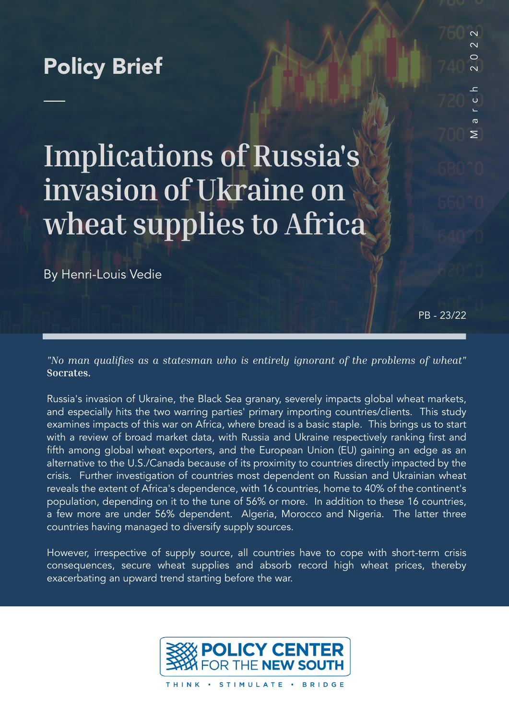# Policy Brief

# **Implications of Russia's invasion of Ukraine on wheat supplies to Africa**

By Henri-Louis Vedie

PB - 23/22

March 2022

 $\overline{C}$  $\epsilon$ 

 $\sigma$  $\geq$ 

 $\overline{\mathsf{C}}$  $\sim$  $\bigcirc$  $\overline{\mathsf{C}}$ 

*"No man qualifies as a statesman who is entirely ignorant of the problems of wheat"*  **Socrates.**

Russia's invasion of Ukraine, the Black Sea granary, severely impacts global wheat markets, and especially hits the two warring parties' primary importing countries/clients. This study examines impacts of this war on Africa, where bread is a basic staple. This brings us to start with a review of broad market data, with Russia and Ukraine respectively ranking first and fifth among global wheat exporters, and the European Union (EU) gaining an edge as an alternative to the U.S./Canada because of its proximity to countries directly impacted by the crisis. Further investigation of countries most dependent on Russian and Ukrainian wheat reveals the extent of Africa's dependence, with 16 countries, home to 40% of the continent's population, depending on it to the tune of 56% or more. In addition to these 16 countries, a few more are under 56% dependent. Algeria, Morocco and Nigeria. The latter three countries having managed to diversify supply sources.

However, irrespective of supply source, all countries have to cope with short-term crisis consequences, secure wheat supplies and absorb record high wheat prices, thereby exacerbating an upward trend starting before the war.



THINK · STIMULATE · BRIDGE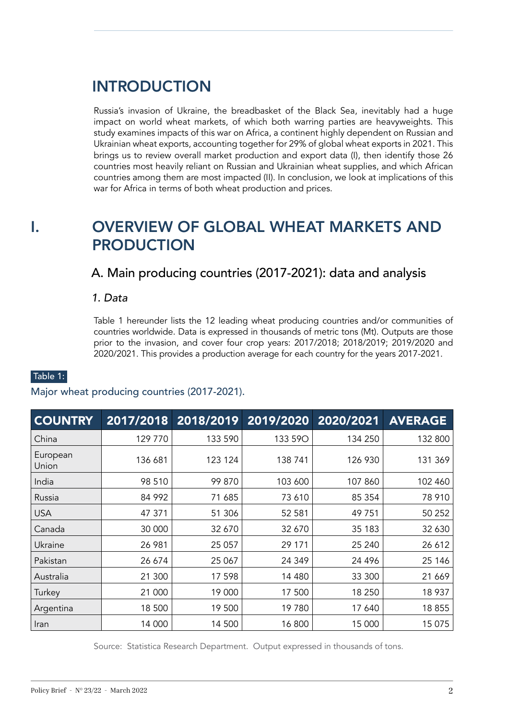# **INTRODUCTION**

Russia's invasion of Ukraine, the breadbasket of the Black Sea, inevitably had a huge impact on world wheat markets, of which both warring parties are heavyweights. This study examines impacts of this war on Africa, a continent highly dependent on Russian and Ukrainian wheat exports, accounting together for 29% of global wheat exports in 2021. This brings us to review overall market production and export data (I), then identify those 26 countries most heavily reliant on Russian and Ukrainian wheat supplies, and which African countries among them are most impacted (II). In conclusion, we look at implications of this war for Africa in terms of both wheat production and prices.

# I. OVERVIEW OF GLOBAL WHEAT MARKETS AND PRODUCTION

A. Main producing countries (2017-2021): data and analysis

*1. Data*

Table 1 hereunder lists the 12 leading wheat producing countries and/or communities of countries worldwide. Data is expressed in thousands of metric tons (Mt). Outputs are those prior to the invasion, and cover four crop years: 2017/2018; 2018/2019; 2019/2020 and 2020/2021. This provides a production average for each country for the years 2017-2021.

### Table 1:

#### Major wheat producing countries (2017-2021).

| <b>COUNTRY</b>    | 2017/2018 | 2018/2019 |         | 2019/2020 2020/2021 | <b>AVERAGE</b> |
|-------------------|-----------|-----------|---------|---------------------|----------------|
| China             | 129 770   | 133 590   | 133 59O | 134 250             | 132 800        |
| European<br>Union | 136 681   | 123 124   | 138 741 | 126 930             | 131 369        |
| India             | 98 510    | 99 870    | 103 600 | 107 860             | 102 460        |
| Russia            | 84 992    | 71 685    | 73 610  | 85 354              | 78 910         |
| <b>USA</b>        | 47 371    | 51 306    | 52 581  | 49751               | 50 252         |
| Canada            | 30 000    | 32 670    | 32 670  | 35 183              | 32 630         |
| Ukraine           | 26 981    | 25 057    | 29 171  | 25 240              | 26 612         |
| Pakistan          | 26 674    | 25 067    | 24 349  | 24 4 9 6            | 25 146         |
| Australia         | 21 300    | 17 598    | 14 480  | 33 300              | 21 669         |
| Turkey            | 21 000    | 19 000    | 17 500  | 18 250              | 18 937         |
| Argentina         | 18 500    | 19 500    | 19780   | 17 640              | 18 855         |
| Iran              | 14 000    | 14 500    | 16 800  | 15 000              | 15 075         |

Source: Statistica Research Department. Output expressed in thousands of tons.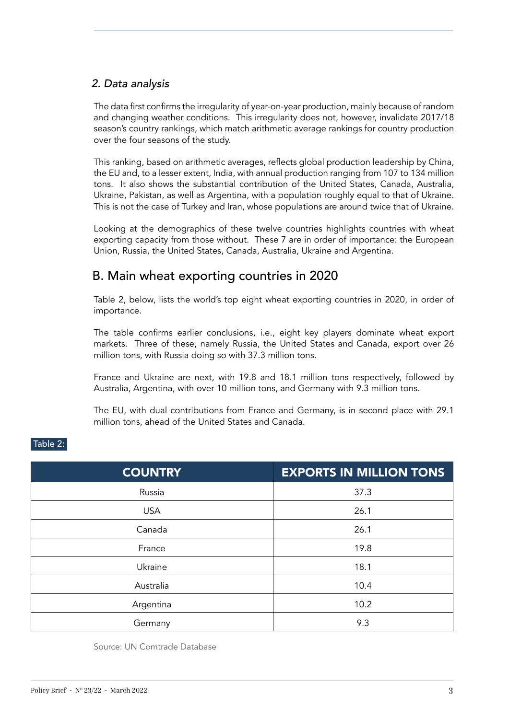## *2. Data analysis*

The data first confirms the irregularity of year-on-year production, mainly because of random and changing weather conditions. This irregularity does not, however, invalidate 2017/18 season's country rankings, which match arithmetic average rankings for country production over the four seasons of the study.

This ranking, based on arithmetic averages, reflects global production leadership by China, the EU and, to a lesser extent, India, with annual production ranging from 107 to 134 million tons. It also shows the substantial contribution of the United States, Canada, Australia, Ukraine, Pakistan, as well as Argentina, with a population roughly equal to that of Ukraine. This is not the case of Turkey and Iran, whose populations are around twice that of Ukraine.

Looking at the demographics of these twelve countries highlights countries with wheat exporting capacity from those without. These 7 are in order of importance: the European Union, Russia, the United States, Canada, Australia, Ukraine and Argentina.

## B. Main wheat exporting countries in 2020

Table 2, below, lists the world's top eight wheat exporting countries in 2020, in order of importance.

The table confirms earlier conclusions, i.e., eight key players dominate wheat export markets. Three of these, namely Russia, the United States and Canada, export over 26 million tons, with Russia doing so with 37.3 million tons.

France and Ukraine are next, with 19.8 and 18.1 million tons respectively, followed by Australia, Argentina, with over 10 million tons, and Germany with 9.3 million tons.

The EU, with dual contributions from France and Germany, is in second place with 29.1 million tons, ahead of the United States and Canada.

| <b>COUNTRY</b> | <b>EXPORTS IN MILLION TONS</b> |  |
|----------------|--------------------------------|--|
| Russia         | 37.3                           |  |
| <b>USA</b>     | 26.1                           |  |
| Canada         | 26.1                           |  |
| France         | 19.8                           |  |
| Ukraine        | 18.1                           |  |
| Australia      | 10.4                           |  |
| Argentina      | 10.2                           |  |
| Germany        | 9.3                            |  |

### Table 2:

Source: UN Comtrade Database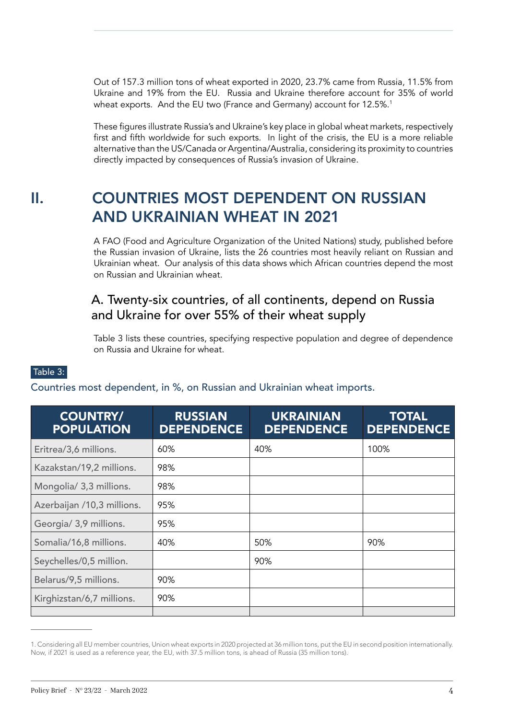Out of 157.3 million tons of wheat exported in 2020, 23.7% came from Russia, 11.5% from Ukraine and 19% from the EU. Russia and Ukraine therefore account for 35% of world wheat exports. And the EU two (France and Germany) account for 12.5%.<sup>1</sup>

These figures illustrate Russia's and Ukraine's key place in global wheat markets, respectively first and fifth worldwide for such exports. In light of the crisis, the EU is a more reliable alternative than the US/Canada or Argentina/Australia, considering its proximity to countries directly impacted by consequences of Russia's invasion of Ukraine.

# II. COUNTRIES MOST DEPENDENT ON RUSSIAN AND UKRAINIAN WHEAT IN 2021

A FAO (Food and Agriculture Organization of the United Nations) study, published before the Russian invasion of Ukraine, lists the 26 countries most heavily reliant on Russian and Ukrainian wheat. Our analysis of this data shows which African countries depend the most on Russian and Ukrainian wheat.

# A. Twenty-six countries, of all continents, depend on Russia and Ukraine for over 55% of their wheat supply

Table 3 lists these countries, specifying respective population and degree of dependence on Russia and Ukraine for wheat.

### Table 3:

Countries most dependent, in %, on Russian and Ukrainian wheat imports.

| <b>COUNTRY/</b><br><b>POPULATION</b> | <b>RUSSIAN</b><br><b>DEPENDENCE</b> | <b>UKRAINIAN</b><br><b>DEPENDENCE</b> | <b>TOTAL</b><br><b>DEPENDENCE</b> |
|--------------------------------------|-------------------------------------|---------------------------------------|-----------------------------------|
| Eritrea/3,6 millions.                | 60%                                 | 40%                                   | 100%                              |
| Kazakstan/19,2 millions.             | 98%                                 |                                       |                                   |
| Mongolia/ 3,3 millions.              | 98%                                 |                                       |                                   |
| Azerbaijan /10,3 millions.           | 95%                                 |                                       |                                   |
| Georgia/ 3,9 millions.               | 95%                                 |                                       |                                   |
| Somalia/16,8 millions.               | 40%                                 | 50%                                   | 90%                               |
| Seychelles/0,5 million.              |                                     | 90%                                   |                                   |
| Belarus/9,5 millions.                | 90%                                 |                                       |                                   |
| Kirghizstan/6,7 millions.            | 90%                                 |                                       |                                   |
|                                      |                                     |                                       |                                   |

<sup>1.</sup> Considering all EU member countries, Union wheat exports in 2020 projected at 36 million tons, put the EU in second position internationally. Now, if 2021 is used as a reference year, the EU, with 37.5 million tons, is ahead of Russia (35 million tons).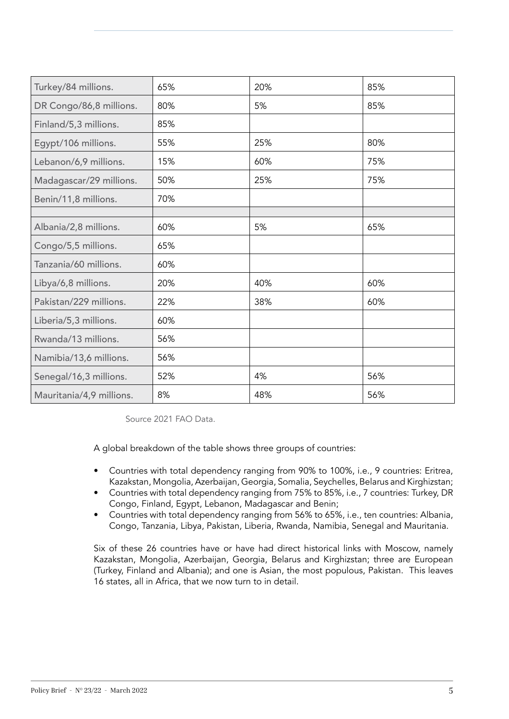| Turkey/84 millions.      | 65% | 20% | 85% |
|--------------------------|-----|-----|-----|
| DR Congo/86,8 millions.  | 80% | 5%  | 85% |
| Finland/5,3 millions.    | 85% |     |     |
| Egypt/106 millions.      | 55% | 25% | 80% |
| Lebanon/6,9 millions.    | 15% | 60% | 75% |
| Madagascar/29 millions.  | 50% | 25% | 75% |
| Benin/11,8 millions.     | 70% |     |     |
|                          |     |     |     |
| Albania/2,8 millions.    | 60% | 5%  | 65% |
| Congo/5,5 millions.      | 65% |     |     |
| Tanzania/60 millions.    | 60% |     |     |
| Libya/6,8 millions.      | 20% | 40% | 60% |
| Pakistan/229 millions.   | 22% | 38% | 60% |
| Liberia/5,3 millions.    | 60% |     |     |
| Rwanda/13 millions.      | 56% |     |     |
| Namibia/13,6 millions.   | 56% |     |     |
| Senegal/16,3 millions.   | 52% | 4%  | 56% |
| Mauritania/4,9 millions. | 8%  | 48% | 56% |

Source 2021 FAO Data.

A global breakdown of the table shows three groups of countries:

- Countries with total dependency ranging from 90% to 100%, i.e., 9 countries: Eritrea, Kazakstan, Mongolia, Azerbaijan, Georgia, Somalia, Seychelles, Belarus and Kirghizstan;
- Countries with total dependency ranging from 75% to 85%, i.e., 7 countries: Turkey, DR Congo, Finland, Egypt, Lebanon, Madagascar and Benin;
- Countries with total dependency ranging from 56% to 65%, i.e., ten countries: Albania, Congo, Tanzania, Libya, Pakistan, Liberia, Rwanda, Namibia, Senegal and Mauritania.

Six of these 26 countries have or have had direct historical links with Moscow, namely Kazakstan, Mongolia, Azerbaijan, Georgia, Belarus and Kirghizstan; three are European (Turkey, Finland and Albania); and one is Asian, the most populous, Pakistan. This leaves 16 states, all in Africa, that we now turn to in detail.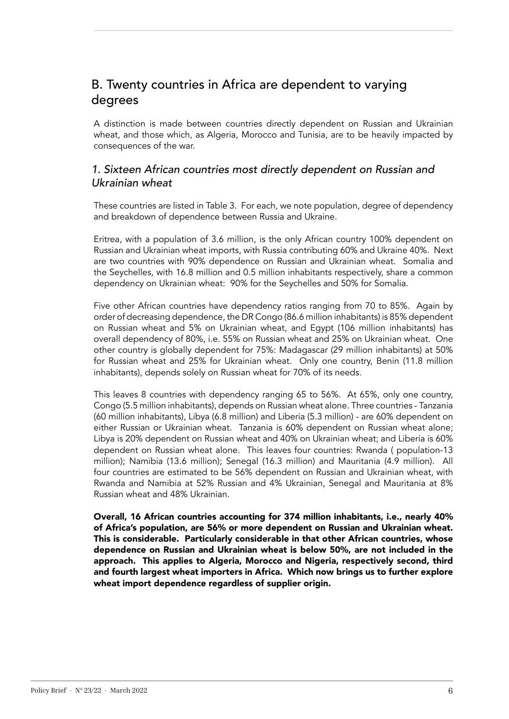## B. Twenty countries in Africa are dependent to varying degrees

A distinction is made between countries directly dependent on Russian and Ukrainian wheat, and those which, as Algeria, Morocco and Tunisia, are to be heavily impacted by consequences of the war.

### *1. Sixteen African countries most directly dependent on Russian and Ukrainian wheat*

These countries are listed in Table 3. For each, we note population, degree of dependency and breakdown of dependence between Russia and Ukraine.

Eritrea, with a population of 3.6 million, is the only African country 100% dependent on Russian and Ukrainian wheat imports, with Russia contributing 60% and Ukraine 40%. Next are two countries with 90% dependence on Russian and Ukrainian wheat. Somalia and the Seychelles, with 16.8 million and 0.5 million inhabitants respectively, share a common dependency on Ukrainian wheat: 90% for the Seychelles and 50% for Somalia.

Five other African countries have dependency ratios ranging from 70 to 85%. Again by order of decreasing dependence, the DR Congo (86.6 million inhabitants) is 85% dependent on Russian wheat and 5% on Ukrainian wheat, and Egypt (106 million inhabitants) has overall dependency of 80%, i.e. 55% on Russian wheat and 25% on Ukrainian wheat. One other country is globally dependent for 75%: Madagascar (29 million inhabitants) at 50% for Russian wheat and 25% for Ukrainian wheat. Only one country, Benin (11.8 million inhabitants), depends solely on Russian wheat for 70% of its needs.

This leaves 8 countries with dependency ranging 65 to 56%. At 65%, only one country, Congo (5.5 million inhabitants), depends on Russian wheat alone. Three countries - Tanzania (60 million inhabitants), Libya (6.8 million) and Liberia (5.3 million) - are 60% dependent on either Russian or Ukrainian wheat. Tanzania is 60% dependent on Russian wheat alone; Libya is 20% dependent on Russian wheat and 40% on Ukrainian wheat; and Liberia is 60% dependent on Russian wheat alone. This leaves four countries: Rwanda ( population-13 million); Namibia (13.6 million); Senegal (16.3 million) and Mauritania (4.9 million). All four countries are estimated to be 56% dependent on Russian and Ukrainian wheat, with Rwanda and Namibia at 52% Russian and 4% Ukrainian, Senegal and Mauritania at 8% Russian wheat and 48% Ukrainian.

Overall, 16 African countries accounting for 374 million inhabitants, i.e., nearly 40% of Africa's population, are 56% or more dependent on Russian and Ukrainian wheat. This is considerable. Particularly considerable in that other African countries, whose dependence on Russian and Ukrainian wheat is below 50%, are not included in the approach. This applies to Algeria, Morocco and Nigeria, respectively second, third and fourth largest wheat importers in Africa. Which now brings us to further explore wheat import dependence regardless of supplier origin.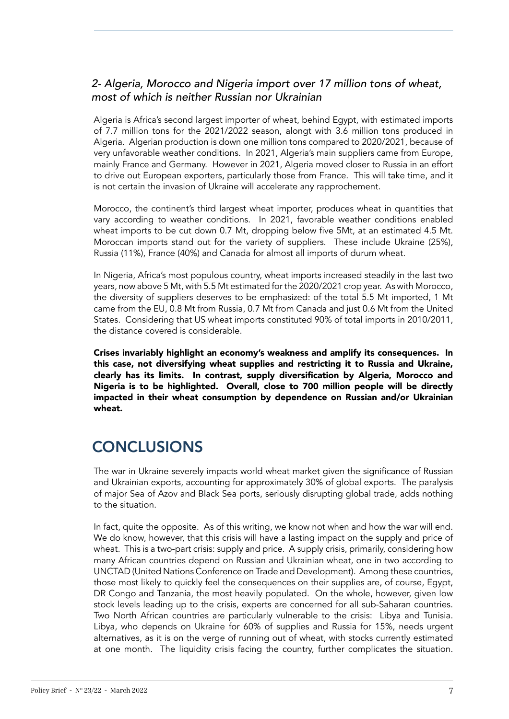## *2- Algeria, Morocco and Nigeria import over 17 million tons of wheat, most of which is neither Russian nor Ukrainian*

Algeria is Africa's second largest importer of wheat, behind Egypt, with estimated imports of 7.7 million tons for the 2021/2022 season, alongt with 3.6 million tons produced in Algeria. Algerian production is down one million tons compared to 2020/2021, because of very unfavorable weather conditions. In 2021, Algeria's main suppliers came from Europe, mainly France and Germany. However in 2021, Algeria moved closer to Russia in an effort to drive out European exporters, particularly those from France. This will take time, and it is not certain the invasion of Ukraine will accelerate any rapprochement.

Morocco, the continent's third largest wheat importer, produces wheat in quantities that vary according to weather conditions. In 2021, favorable weather conditions enabled wheat imports to be cut down 0.7 Mt, dropping below five 5Mt, at an estimated 4.5 Mt. Moroccan imports stand out for the variety of suppliers. These include Ukraine (25%), Russia (11%), France (40%) and Canada for almost all imports of durum wheat.

In Nigeria, Africa's most populous country, wheat imports increased steadily in the last two years, now above 5 Mt, with 5.5 Mt estimated for the 2020/2021 crop year. As with Morocco, the diversity of suppliers deserves to be emphasized: of the total 5.5 Mt imported, 1 Mt came from the EU, 0.8 Mt from Russia, 0.7 Mt from Canada and just 0.6 Mt from the United States. Considering that US wheat imports constituted 90% of total imports in 2010/2011, the distance covered is considerable.

Crises invariably highlight an economy's weakness and amplify its consequences. In this case, not diversifying wheat supplies and restricting it to Russia and Ukraine, clearly has its limits. In contrast, supply diversification by Algeria, Morocco and Nigeria is to be highlighted. Overall, close to 700 million people will be directly impacted in their wheat consumption by dependence on Russian and/or Ukrainian wheat.

# **CONCLUSIONS**

The war in Ukraine severely impacts world wheat market given the significance of Russian and Ukrainian exports, accounting for approximately 30% of global exports. The paralysis of major Sea of Azov and Black Sea ports, seriously disrupting global trade, adds nothing to the situation.

In fact, quite the opposite. As of this writing, we know not when and how the war will end. We do know, however, that this crisis will have a lasting impact on the supply and price of wheat. This is a two-part crisis: supply and price. A supply crisis, primarily, considering how many African countries depend on Russian and Ukrainian wheat, one in two according to UNCTAD (United Nations Conference on Trade and Development). Among these countries, those most likely to quickly feel the consequences on their supplies are, of course, Egypt, DR Congo and Tanzania, the most heavily populated. On the whole, however, given low stock levels leading up to the crisis, experts are concerned for all sub-Saharan countries. Two North African countries are particularly vulnerable to the crisis: Libya and Tunisia. Libya, who depends on Ukraine for 60% of supplies and Russia for 15%, needs urgent alternatives, as it is on the verge of running out of wheat, with stocks currently estimated at one month. The liquidity crisis facing the country, further complicates the situation.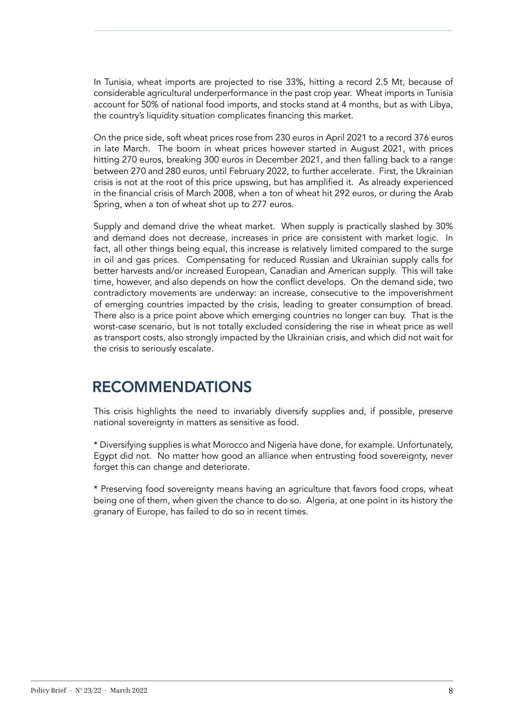In Tunisia, wheat imports are projected to rise 33%, hitting a record 2.5 Mt, because of considerable agricultural underperformance in the past crop year. Wheat imports in Tunisia account for 50% of national food imports, and stocks stand at 4 months, but as with Libya, the country's liquidity situation complicates financing this market.

On the price side, soft wheat prices rose from 230 euros in April 2021 to a record 376 euros in late March. The boom in wheat prices however started in August 2021, with prices hitting 270 euros, breaking 300 euros in December 2021, and then falling back to a range between 270 and 280 euros, until February 2022, to further accelerate. First, the Ukrainian crisis is not at the root of this price upswing, but has amplified it. As already experienced in the financial crisis of March 2008, when a ton of wheat hit 292 euros, or during the Arab Spring, when a ton of wheat shot up to 277 euros.

Supply and demand drive the wheat market. When supply is practically slashed by 30% and demand does not decrease, increases in price are consistent with market logic. In fact, all other things being equal, this increase is relatively limited compared to the surge in oil and gas prices. Compensating for reduced Russian and Ukrainian supply calls for better harvests and/or increased European, Canadian and American supply. This will take time, however, and also depends on how the conflict develops. On the demand side, two contradictory movements are underway: an increase, consecutive to the impoverishment of emerging countries impacted by the crisis, leading to greater consumption of bread. There also is a price point above which emerging countries no longer can buy. That is the worst-case scenario, but is not totally excluded considering the rise in wheat price as well as transport costs, also strongly impacted by the Ukrainian crisis, and which did not wait for the crisis to seriously escalate.

# RECOMMENDATIONS

This crisis highlights the need to invariably diversify supplies and, if possible, preserve national sovereignty in matters as sensitive as food.

\* Diversifying supplies is what Morocco and Nigeria have done, for example. Unfortunately, Egypt did not. No matter how good an alliance when entrusting food sovereignty, never forget this can change and deteriorate.

\* Preserving food sovereignty means having an agriculture that favors food crops, wheat being one of them, when given the chance to do so. Algeria, at one point in its history the granary of Europe, has failed to do so in recent times.